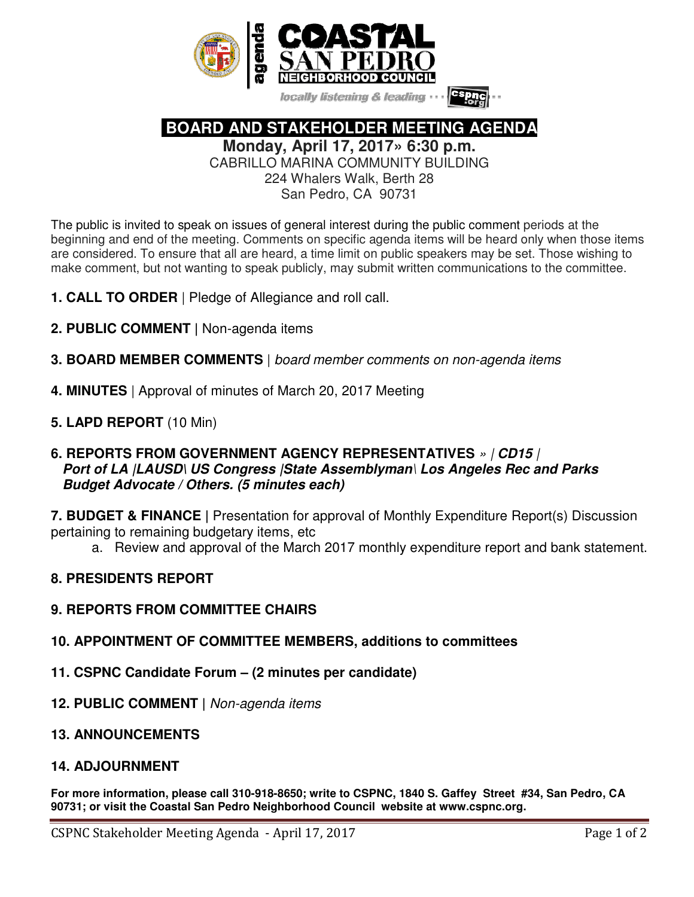

locally listening & leading

 **BOARD AND STAKEHOLDER MEETING AGENDA** 

**Monday, April 17, 2017» 6:30 p.m.** 

CABRILLO MARINA COMMUNITY BUILDING

224 Whalers Walk, Berth 28 San Pedro, CA 90731

The public is invited to speak on issues of general interest during the public comment periods at the beginning and end of the meeting. Comments on specific agenda items will be heard only when those items are considered. To ensure that all are heard, a time limit on public speakers may be set. Those wishing to make comment, but not wanting to speak publicly, may submit written communications to the committee.

- **1. CALL TO ORDER** | Pledge of Allegiance and roll call.
- **2. PUBLIC COMMENT |** Non-agenda items
- **3. BOARD MEMBER COMMENTS** | board member comments on non-agenda items
- **4. MINUTES** | Approval of minutes of March 20, 2017 Meeting
- **5. LAPD REPORT** (10 Min)
- **6. REPORTS FROM GOVERNMENT AGENCY REPRESENTATIVES** » | **CD15** |  **Port of LA |LAUSD\ US Congress |State Assemblyman**\ **Los Angeles Rec and Parks Budget Advocate / Others. (5 minutes each)**

**7. BUDGET & FINANCE |** Presentation for approval of Monthly Expenditure Report(s) Discussion pertaining to remaining budgetary items, etc

a. Review and approval of the March 2017 monthly expenditure report and bank statement.

- **8. PRESIDENTS REPORT**
- **9. REPORTS FROM COMMITTEE CHAIRS**
- **10. APPOINTMENT OF COMMITTEE MEMBERS, additions to committees**
- **11. CSPNC Candidate Forum (2 minutes per candidate)**
- **12. PUBLIC COMMENT |** Non-agenda items
- **13. ANNOUNCEMENTS**
- **14. ADJOURNMENT**

**For more information, please call 310-918-8650; write to CSPNC, 1840 S. Gaffey Street #34, San Pedro, CA 90731; or visit the Coastal San Pedro Neighborhood Council website at www.cspnc.org.**